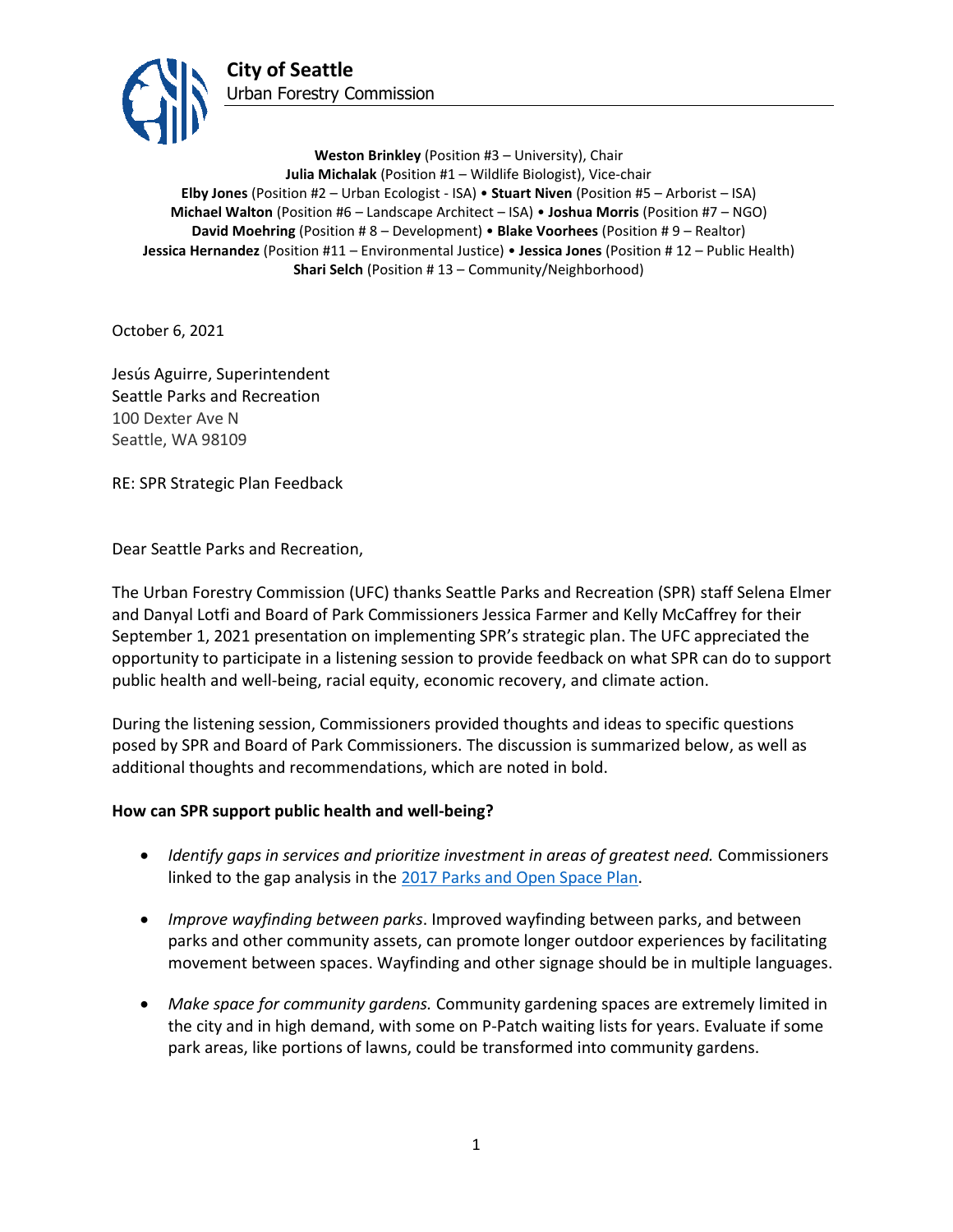

**Weston Brinkley** (Position #3 – University), Chair **Julia Michalak** (Position #1 – Wildlife Biologist), Vice-chair **Elby Jones** (Position #2 – Urban Ecologist - ISA) • **Stuart Niven** (Position #5 – Arborist – ISA) **Michael Walton** (Position #6 – Landscape Architect – ISA) • **Joshua Morris** (Position #7 – NGO) **David Moehring** (Position # 8 – Development) • **Blake Voorhees** (Position # 9 – Realtor) **Jessica Hernandez** (Position #11 – Environmental Justice) • **Jessica Jones** (Position # 12 – Public Health) **Shari Selch** (Position #13 – Community/Neighborhood)

October 6, 2021

Jesús Aguirre, Superintendent Seattle Parks and Recreation 100 Dexter Ave N Seattle, WA 98109

RE: SPR Strategic Plan Feedback

Dear Seattle Parks and Recreation,

The Urban Forestry Commission (UFC) thanks Seattle Parks and Recreation (SPR) staff Selena Elmer and Danyal Lotfi and Board of Park Commissioners Jessica Farmer and Kelly McCaffrey for their September 1, 2021 presentation on implementing SPR's strategic plan. The UFC appreciated the opportunity to participate in a listening session to provide feedback on what SPR can do to support public health and well-being, racial equity, economic recovery, and climate action.

During the listening session, Commissioners provided thoughts and ideas to specific questions posed by SPR and Board of Park Commissioners. The discussion is summarized below, as well as additional thoughts and recommendations, which are noted in bold.

## **How can SPR support public health and well-being?**

- *Identify gaps in services and prioritize investment in areas of greatest need.* Commissioners linked to the gap analysis in the [2017 Parks and Open Space Plan.](http://www.seattle.gov/parks/about-us/policies-and-plans/2017-parks-and-open-space-plan)
- *Improve wayfinding between parks*. Improved wayfinding between parks, and between parks and other community assets, can promote longer outdoor experiences by facilitating movement between spaces. Wayfinding and other signage should be in multiple languages.
- *Make space for community gardens.* Community gardening spaces are extremely limited in the city and in high demand, with some on P-Patch waiting lists for years. Evaluate if some park areas, like portions of lawns, could be transformed into community gardens.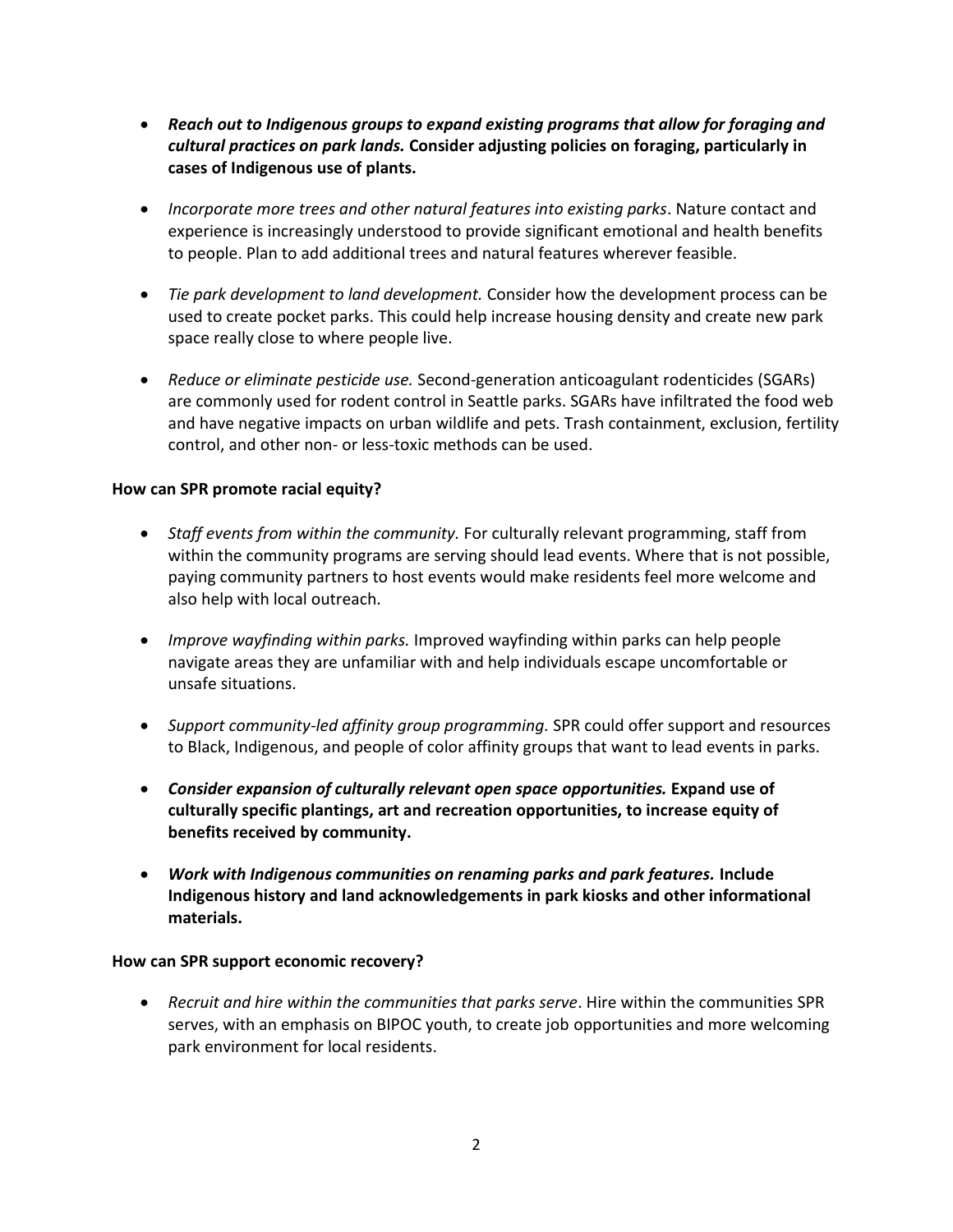- *Reach out to Indigenous groups to expand existing programs that allow for foraging and cultural practices on park lands.* **Consider adjusting policies on foraging, particularly in cases of Indigenous use of plants.**
- *Incorporate more trees and other natural features into existing parks*. Nature contact and experience is increasingly understood to provide significant emotional and health benefits to people. Plan to add additional trees and natural features wherever feasible.
- *Tie park development to land development.* Consider how the development process can be used to create pocket parks. This could help increase housing density and create new park space really close to where people live.
- *Reduce or eliminate pesticide use.* Second-generation anticoagulant rodenticides (SGARs) are commonly used for rodent control in Seattle parks. SGARs have infiltrated the food web and have negative impacts on urban wildlife and pets. Trash containment, exclusion, fertility control, and other non- or less-toxic methods can be used.

## **How can SPR promote racial equity?**

- *Staff events from within the community.* For culturally relevant programming, staff from within the community programs are serving should lead events. Where that is not possible, paying community partners to host events would make residents feel more welcome and also help with local outreach.
- *Improve wayfinding within parks.* Improved wayfinding within parks can help people navigate areas they are unfamiliar with and help individuals escape uncomfortable or unsafe situations.
- *Support community-led affinity group programming.* SPR could offer support and resources to Black, Indigenous, and people of color affinity groups that want to lead events in parks.
- *Consider expansion of culturally relevant open space opportunities.* **Expand use of culturally specific plantings, art and recreation opportunities, to increase equity of benefits received by community.**
- *Work with Indigenous communities on renaming parks and park features.* **Include Indigenous history and land acknowledgements in park kiosks and other informational materials.**

## **How can SPR support economic recovery?**

• *Recruit and hire within the communities that parks serve*. Hire within the communities SPR serves, with an emphasis on BIPOC youth, to create job opportunities and more welcoming park environment for local residents.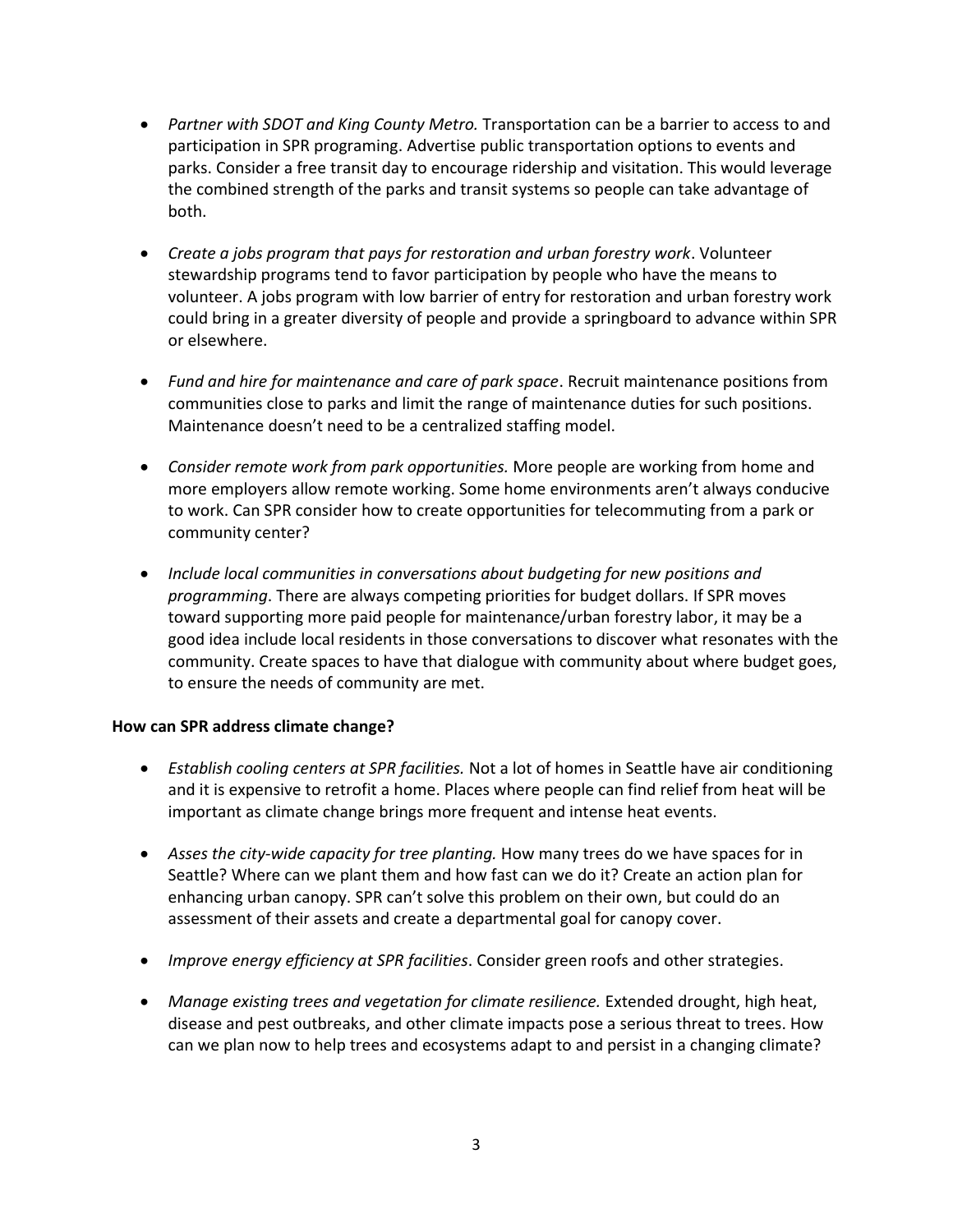- *Partner with SDOT and King County Metro.* Transportation can be a barrier to access to and participation in SPR programing. Advertise public transportation options to events and parks. Consider a free transit day to encourage ridership and visitation. This would leverage the combined strength of the parks and transit systems so people can take advantage of both.
- *Create a jobs program that pays for restoration and urban forestry work*. Volunteer stewardship programs tend to favor participation by people who have the means to volunteer. A jobs program with low barrier of entry for restoration and urban forestry work could bring in a greater diversity of people and provide a springboard to advance within SPR or elsewhere.
- *Fund and hire for maintenance and care of park space*. Recruit maintenance positions from communities close to parks and limit the range of maintenance duties for such positions. Maintenance doesn't need to be a centralized staffing model.
- *Consider remote work from park opportunities.* More people are working from home and more employers allow remote working. Some home environments aren't always conducive to work. Can SPR consider how to create opportunities for telecommuting from a park or community center?
- *Include local communities in conversations about budgeting for new positions and programming*. There are always competing priorities for budget dollars. If SPR moves toward supporting more paid people for maintenance/urban forestry labor, it may be a good idea include local residents in those conversations to discover what resonates with the community. Create spaces to have that dialogue with community about where budget goes, to ensure the needs of community are met.

## **How can SPR address climate change?**

- *Establish cooling centers at SPR facilities.* Not a lot of homes in Seattle have air conditioning and it is expensive to retrofit a home. Places where people can find relief from heat will be important as climate change brings more frequent and intense heat events.
- *Asses the city-wide capacity for tree planting.* How many trees do we have spaces for in Seattle? Where can we plant them and how fast can we do it? Create an action plan for enhancing urban canopy. SPR can't solve this problem on their own, but could do an assessment of their assets and create a departmental goal for canopy cover.
- *Improve energy efficiency at SPR facilities*. Consider green roofs and other strategies.
- Manage existing trees and vegetation for climate resilience. Extended drought, high heat, disease and pest outbreaks, and other climate impacts pose a serious threat to trees. How can we plan now to help trees and ecosystems adapt to and persist in a changing climate?